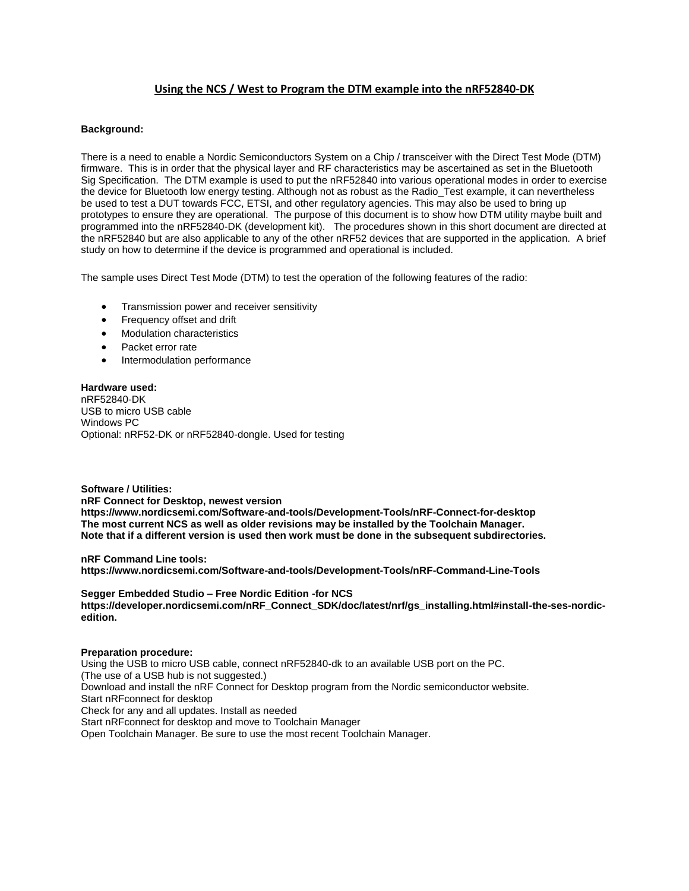# **Using the NCS / West to Program the DTM example into the nRF52840-DK**

# **Background:**

There is a need to enable a Nordic Semiconductors System on a Chip / transceiver with the Direct Test Mode (DTM) firmware. This is in order that the physical layer and RF characteristics may be ascertained as set in the Bluetooth Sig Specification. The DTM example is used to put the nRF52840 into various operational modes in order to exercise the device for Bluetooth low energy testing. Although not as robust as the Radio\_Test example, it can nevertheless be used to test a DUT towards FCC, ETSI, and other regulatory agencies. This may also be used to bring up prototypes to ensure they are operational. The purpose of this document is to show how DTM utility maybe built and programmed into the nRF52840-DK (development kit). The procedures shown in this short document are directed at the nRF52840 but are also applicable to any of the other nRF52 devices that are supported in the application. A brief study on how to determine if the device is programmed and operational is included.

The sample uses Direct Test Mode (DTM) to test the operation of the following features of the radio:

- Transmission power and receiver sensitivity
- Frequency offset and drift
- Modulation characteristics
- Packet error rate
- Intermodulation performance

**Hardware used:** nRF52840-DK USB to micro USB cable Windows PC Optional: nRF52-DK or nRF52840-dongle. Used for testing

**Software / Utilities: nRF Connect for Desktop, newest version https://www.nordicsemi.com/Software-and-tools/Development-Tools/nRF-Connect-for-desktop The most current NCS as well as older revisions may be installed by the Toolchain Manager. Note that if a different version is used then work must be done in the subsequent subdirectories.**

**nRF Command Line tools: https://www.nordicsemi.com/Software-and-tools/Development-Tools/nRF-Command-Line-Tools**

**Segger Embedded Studio – Free Nordic Edition -for NCS https://developer.nordicsemi.com/nRF\_Connect\_SDK/doc/latest/nrf/gs\_installing.html#install-the-ses-nordicedition.**

## **Preparation procedure:**

Using the USB to micro USB cable, connect nRF52840-dk to an available USB port on the PC. (The use of a USB hub is not suggested.) Download and install the nRF Connect for Desktop program from the Nordic semiconductor website. Start nRFconnect for desktop Check for any and all updates. Install as needed Start nRFconnect for desktop and move to Toolchain Manager Open Toolchain Manager. Be sure to use the most recent Toolchain Manager.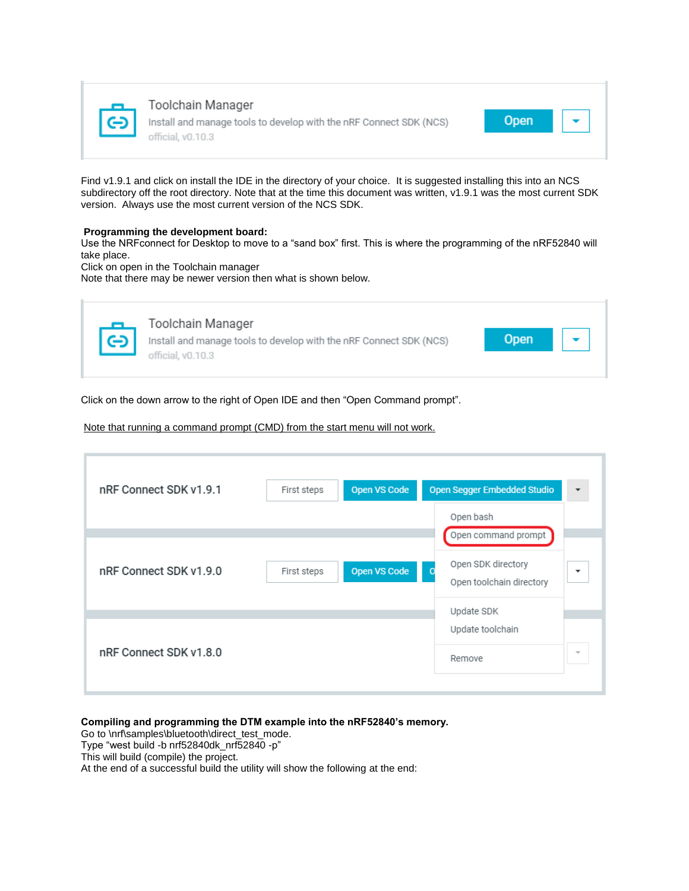

Toolchain Manager Install and manage tools to develop with the nRF Connect SDK (NCS) official, v0.10.3



Find v1.9.1 and click on install the IDE in the directory of your choice. It is suggested installing this into an NCS subdirectory off the root directory. Note that at the time this document was written, v1.9.1 was the most current SDK version. Always use the most current version of the NCS SDK.

# **Programming the development board:**

Use the NRFconnect for Desktop to move to a "sand box" first. This is where the programming of the nRF52840 will take place.

Click on open in the Toolchain manager

Note that there may be newer version then what is shown below.



Click on the down arrow to the right of Open IDE and then "Open Command prompt".

## Note that running a command prompt (CMD) from the start menu will not work.

| nRF Connect SDK v1.9.1 | First steps | <b>Open VS Code</b> | <b>Open Segger Embedded Studio</b>                             |
|------------------------|-------------|---------------------|----------------------------------------------------------------|
|                        |             |                     | Open bash<br>Open command prompt                               |
| nRF Connect SDK v1.9.0 | First steps | <b>Open VS Code</b> | Open SDK directory<br>$\circ$<br>۰<br>Open toolchain directory |
|                        |             |                     | Update SDK                                                     |
| nRF Connect SDK v1.8.0 |             |                     | Update toolchain<br>$\overline{\phantom{a}}$<br>Remove         |

**Compiling and programming the DTM example into the nRF52840's memory.**

Go to \nrf\samples\bluetooth\direct\_test\_mode.

Type "west build -b nrf52840dk\_nrf52840 -p"

This will build (compile) the project.

At the end of a successful build the utility will show the following at the end: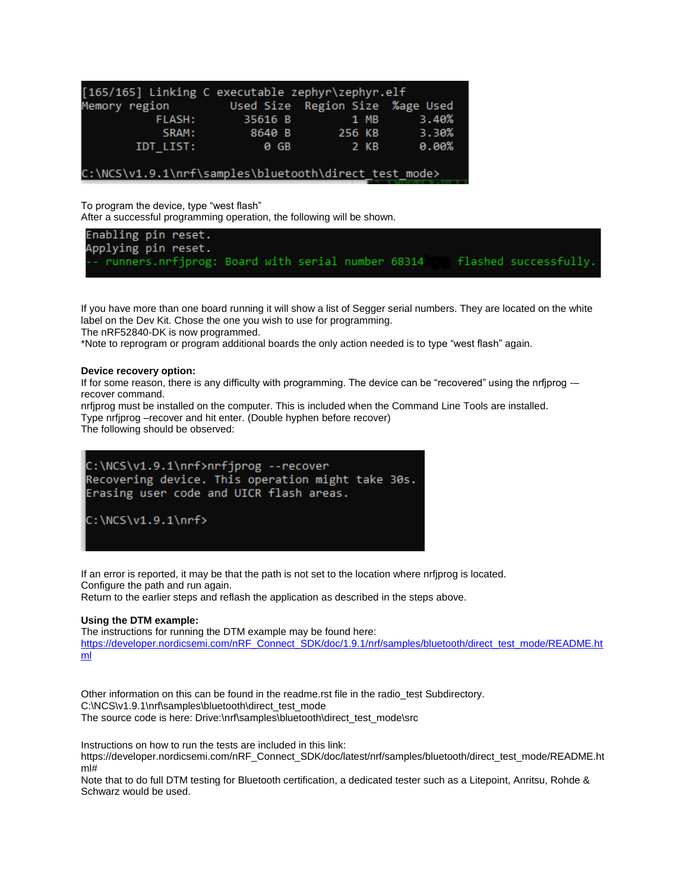| [165/165] Linking C executable zephyr\zephyr.elf      |         |                                 |       |  |  |  |
|-------------------------------------------------------|---------|---------------------------------|-------|--|--|--|
| Memory region                                         |         | Used Size Region Size %age Used |       |  |  |  |
| FLASH:                                                | 35616 B | 1 MB                            | 3.40% |  |  |  |
| SRAM:                                                 | 8640 B  | 256 KB                          | 3.30% |  |  |  |
| IDT LIST:                                             | 0 GB    | 2 KB                            | 0.00% |  |  |  |
|                                                       |         |                                 |       |  |  |  |
| C:\NCS\v1.9.1\nrf\samples\bluetooth\direct test mode> |         |                                 |       |  |  |  |

To program the device, type "west flash"

After a successful programming operation, the following will be shown.

Enabling pin reset. Applying pin reset. runners.nrfjprog: Board with serial number 68314 flashed successfully.

If you have more than one board running it will show a list of Segger serial numbers. They are located on the white label on the Dev Kit. Chose the one you wish to use for programming.

The nRF52840-DK is now programmed.

\*Note to reprogram or program additional boards the only action needed is to type "west flash" again.

#### **Device recovery option:**

If for some reason, there is any difficulty with programming. The device can be "recovered" using the nrfjprog -– recover command.

nrfjprog must be installed on the computer. This is included when the Command Line Tools are installed. Type nrfjprog –recover and hit enter. (Double hyphen before recover) The following should be observed:



If an error is reported, it may be that the path is not set to the location where nrfjprog is located. Configure the path and run again.

Return to the earlier steps and reflash the application as described in the steps above.

## **Using the DTM example:**

The instructions for running the DTM example may be found here: [https://developer.nordicsemi.com/nRF\\_Connect\\_SDK/doc/1.9.1/nrf/samples/bluetooth/direct\\_test\\_mode/README.ht](https://developer.nordicsemi.com/nRF_Connect_SDK/doc/1.9.1/nrf/samples/bluetooth/direct_test_mode/README.html) [ml](https://developer.nordicsemi.com/nRF_Connect_SDK/doc/1.9.1/nrf/samples/bluetooth/direct_test_mode/README.html)

Other information on this can be found in the readme.rst file in the radio\_test Subdirectory. C:\NCS\v1.9.1\nrf\samples\bluetooth\direct\_test\_mode The source code is here: Drive:\nrf\samples\bluetooth\direct\_test\_mode\src

Instructions on how to run the tests are included in this link:

https://developer.nordicsemi.com/nRF\_Connect\_SDK/doc/latest/nrf/samples/bluetooth/direct\_test\_mode/README.ht ml#

Note that to do full DTM testing for Bluetooth certification, a dedicated tester such as a Litepoint, Anritsu, Rohde & Schwarz would be used.